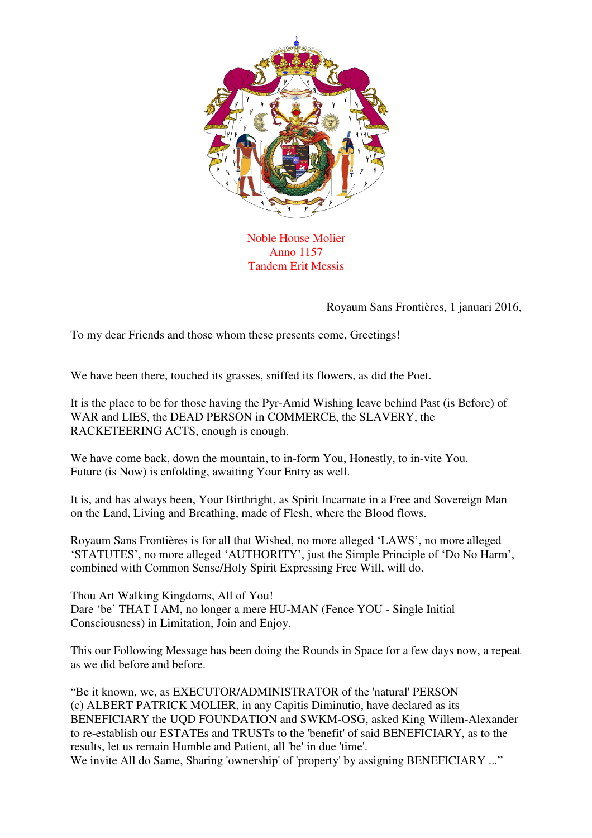

Noble House Molier Anno 1157 Tandem Erit Messis

Royaum Sans Frontières, 1 januari 2016,

To my dear Friends and those whom these presents come, Greetings!

We have been there, touched its grasses, sniffed its flowers, as did the Poet.

It is the place to be for those having the Pyr-Amid Wishing leave behind Past (is Before) of WAR and LIES, the DEAD PERSON in COMMERCE, the SLAVERY, the RACKETEERING ACTS, enough is enough.

We have come back, down the mountain, to in-form You, Honestly, to in-vite You. Future (is Now) is enfolding, awaiting Your Entry as well.

It is, and has always been, Your Birthright, as Spirit Incarnate in a Free and Sovereign Man on the Land, Living and Breathing, made of Flesh, where the Blood flows.

Royaum Sans Frontières is for all that Wished, no more alleged 'LAWS', no more alleged 'STATUTES', no more alleged 'AUTHORITY', just the Simple Principle of 'Do No Harm', combined with Common Sense/Holy Spirit Expressing Free Will, will do.

Thou Art Walking Kingdoms, All of You! Dare 'be' THAT I AM, no longer a mere HU-MAN (Fence YOU - Single Initial Consciousness) in Limitation, Join and Enjoy.

This our Following Message has been doing the Rounds in Space for a few days now, a repeat as we did before and before.

"Be it known, we, as EXECUTOR/ADMINISTRATOR of the 'natural' PERSON (c) ALBERT PATRICK MOLIER, in any Capitis Diminutio, have declared as its BENEFICIARY the UQD FOUNDATION and SWKM-OSG, asked King Willem-Alexander to re-establish our ESTATEs and TRUSTs to the 'benefit' of said BENEFICIARY, as to the results, let us remain Humble and Patient, all 'be' in due 'time'. We invite All do Same, Sharing 'ownership' of 'property' by assigning BENEFICIARY ..."